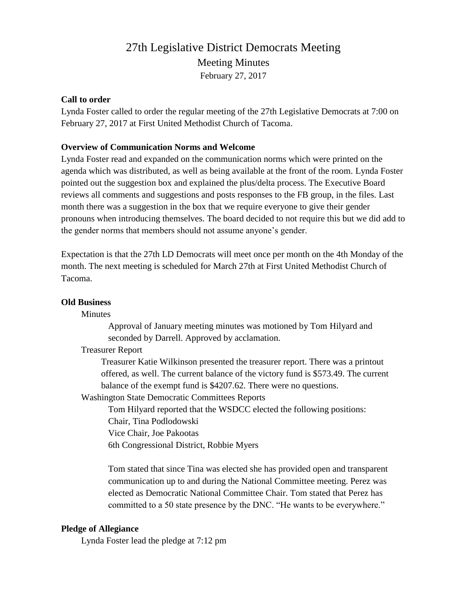# 27th Legislative District Democrats Meeting Meeting Minutes February 27, 2017

# **Call to order**

Lynda Foster called to order the regular meeting of the 27th Legislative Democrats at 7:00 on February 27, 2017 at First United Methodist Church of Tacoma.

# **Overview of Communication Norms and Welcome**

Lynda Foster read and expanded on the communication norms which were printed on the agenda which was distributed, as well as being available at the front of the room. Lynda Foster pointed out the suggestion box and explained the plus/delta process. The Executive Board reviews all comments and suggestions and posts responses to the FB group, in the files. Last month there was a suggestion in the box that we require everyone to give their gender pronouns when introducing themselves. The board decided to not require this but we did add to the gender norms that members should not assume anyone's gender.

Expectation is that the 27th LD Democrats will meet once per month on the 4th Monday of the month. The next meeting is scheduled for March 27th at First United Methodist Church of Tacoma.

# **Old Business**

Minutes

Approval of January meeting minutes was motioned by Tom Hilyard and seconded by Darrell. Approved by acclamation.

# Treasurer Report

Treasurer Katie Wilkinson presented the treasurer report. There was a printout offered, as well. The current balance of the victory fund is \$573.49. The current balance of the exempt fund is \$4207.62. There were no questions.

Washington State Democratic Committees Reports

Tom Hilyard reported that the WSDCC elected the following positions: Chair, Tina Podlodowski

Vice Chair, Joe Pakootas

6th Congressional District, Robbie Myers

Tom stated that since Tina was elected she has provided open and transparent communication up to and during the National Committee meeting. Perez was elected as Democratic National Committee Chair. Tom stated that Perez has committed to a 50 state presence by the DNC. "He wants to be everywhere."

# **Pledge of Allegiance**

Lynda Foster lead the pledge at 7:12 pm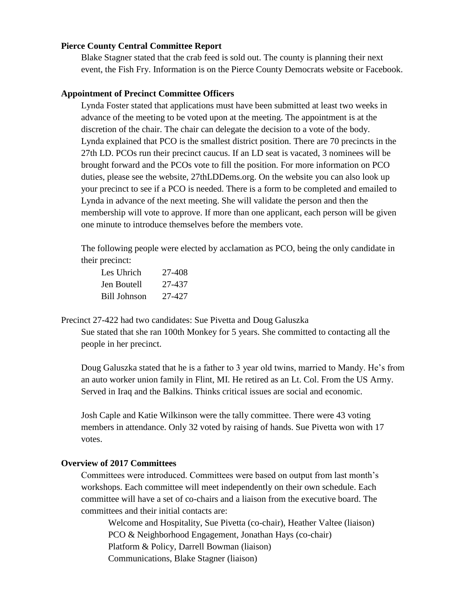## **Pierce County Central Committee Report**

Blake Stagner stated that the crab feed is sold out. The county is planning their next event, the Fish Fry. Information is on the Pierce County Democrats website or Facebook.

## **Appointment of Precinct Committee Officers**

Lynda Foster stated that applications must have been submitted at least two weeks in advance of the meeting to be voted upon at the meeting. The appointment is at the discretion of the chair. The chair can delegate the decision to a vote of the body. Lynda explained that PCO is the smallest district position. There are 70 precincts in the 27th LD. PCOs run their precinct caucus. If an LD seat is vacated, 3 nominees will be brought forward and the PCOs vote to fill the position. For more information on PCO duties, please see the website, 27thLDDems.org. On the website you can also look up your precinct to see if a PCO is needed. There is a form to be completed and emailed to Lynda in advance of the next meeting. She will validate the person and then the membership will vote to approve. If more than one applicant, each person will be given one minute to introduce themselves before the members vote.

The following people were elected by acclamation as PCO, being the only candidate in their precinct:

| Les Uhrich   | 27-408 |
|--------------|--------|
| Jen Boutell  | 27-437 |
| Bill Johnson | 27-427 |

Precinct 27-422 had two candidates: Sue Pivetta and Doug Galuszka Sue stated that she ran 100th Monkey for 5 years. She committed to contacting all the

people in her precinct.

Doug Galuszka stated that he is a father to 3 year old twins, married to Mandy. He's from an auto worker union family in Flint, MI. He retired as an Lt. Col. From the US Army. Served in Iraq and the Balkins. Thinks critical issues are social and economic.

Josh Caple and Katie Wilkinson were the tally committee. There were 43 voting members in attendance. Only 32 voted by raising of hands. Sue Pivetta won with 17 votes.

# **Overview of 2017 Committees**

Committees were introduced. Committees were based on output from last month's workshops. Each committee will meet independently on their own schedule. Each committee will have a set of co-chairs and a liaison from the executive board. The committees and their initial contacts are:

Welcome and Hospitality, Sue Pivetta (co-chair), Heather Valtee (liaison) PCO & Neighborhood Engagement, Jonathan Hays (co-chair) Platform & Policy, Darrell Bowman (liaison) Communications, Blake Stagner (liaison)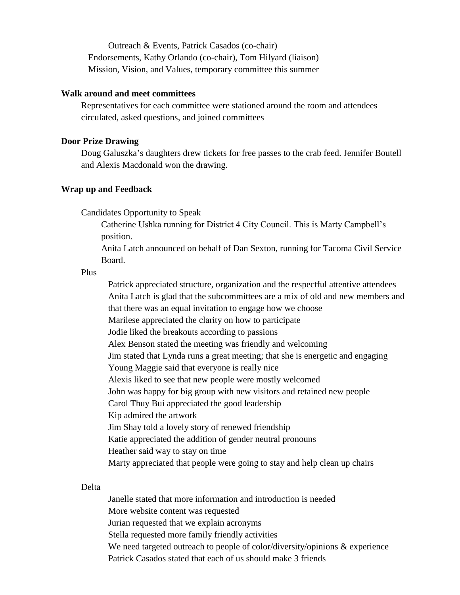Outreach & Events, Patrick Casados (co-chair) Endorsements, Kathy Orlando (co-chair), Tom Hilyard (liaison) Mission, Vision, and Values, temporary committee this summer

#### **Walk around and meet committees**

Representatives for each committee were stationed around the room and attendees circulated, asked questions, and joined committees

### **Door Prize Drawing**

Doug Galuszka's daughters drew tickets for free passes to the crab feed. Jennifer Boutell and Alexis Macdonald won the drawing.

## **Wrap up and Feedback**

Candidates Opportunity to Speak

Catherine Ushka running for District 4 City Council. This is Marty Campbell's position.

Anita Latch announced on behalf of Dan Sexton, running for Tacoma Civil Service Board.

Plus

Patrick appreciated structure, organization and the respectful attentive attendees Anita Latch is glad that the subcommittees are a mix of old and new members and that there was an equal invitation to engage how we choose Marilese appreciated the clarity on how to participate Jodie liked the breakouts according to passions Alex Benson stated the meeting was friendly and welcoming Jim stated that Lynda runs a great meeting; that she is energetic and engaging Young Maggie said that everyone is really nice Alexis liked to see that new people were mostly welcomed John was happy for big group with new visitors and retained new people Carol Thuy Bui appreciated the good leadership Kip admired the artwork Jim Shay told a lovely story of renewed friendship Katie appreciated the addition of gender neutral pronouns Heather said way to stay on time Marty appreciated that people were going to stay and help clean up chairs

### Delta

Janelle stated that more information and introduction is needed More website content was requested Jurian requested that we explain acronyms Stella requested more family friendly activities We need targeted outreach to people of color/diversity/opinions & experience Patrick Casados stated that each of us should make 3 friends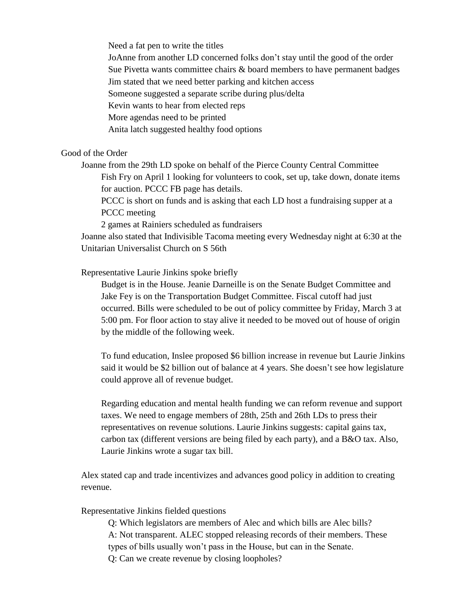Need a fat pen to write the titles

JoAnne from another LD concerned folks don't stay until the good of the order

Sue Pivetta wants committee chairs & board members to have permanent badges

Jim stated that we need better parking and kitchen access

Someone suggested a separate scribe during plus/delta

Kevin wants to hear from elected reps

More agendas need to be printed

Anita latch suggested healthy food options

Good of the Order

Joanne from the 29th LD spoke on behalf of the Pierce County Central Committee Fish Fry on April 1 looking for volunteers to cook, set up, take down, donate items for auction. PCCC FB page has details.

PCCC is short on funds and is asking that each LD host a fundraising supper at a PCCC meeting

2 games at Rainiers scheduled as fundraisers

Joanne also stated that Indivisible Tacoma meeting every Wednesday night at 6:30 at the Unitarian Universalist Church on S 56th

Representative Laurie Jinkins spoke briefly

Budget is in the House. Jeanie Darneille is on the Senate Budget Committee and Jake Fey is on the Transportation Budget Committee. Fiscal cutoff had just occurred. Bills were scheduled to be out of policy committee by Friday, March 3 at 5:00 pm. For floor action to stay alive it needed to be moved out of house of origin by the middle of the following week.

To fund education, Inslee proposed \$6 billion increase in revenue but Laurie Jinkins said it would be \$2 billion out of balance at 4 years. She doesn't see how legislature could approve all of revenue budget.

Regarding education and mental health funding we can reform revenue and support taxes. We need to engage members of 28th, 25th and 26th LDs to press their representatives on revenue solutions. Laurie Jinkins suggests: capital gains tax, carbon tax (different versions are being filed by each party), and a B&O tax. Also, Laurie Jinkins wrote a sugar tax bill.

Alex stated cap and trade incentivizes and advances good policy in addition to creating revenue.

Representative Jinkins fielded questions

Q: Which legislators are members of Alec and which bills are Alec bills? A: Not transparent. ALEC stopped releasing records of their members. These types of bills usually won't pass in the House, but can in the Senate. Q: Can we create revenue by closing loopholes?